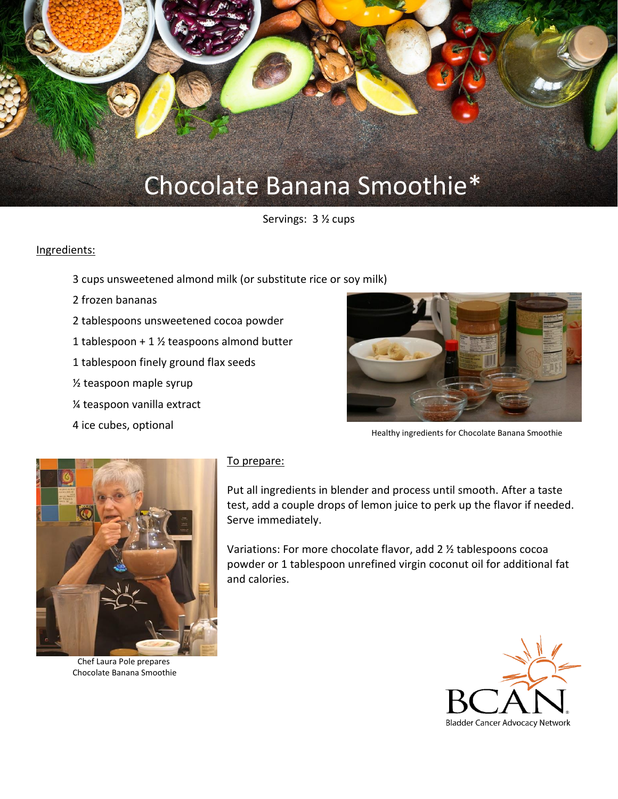

Servings: 3 ½ cups

## Ingredients:

- 3 cups unsweetened almond milk (or substitute rice or soy milk)
- 2 frozen bananas
- 2 tablespoons unsweetened cocoa powder
- 1 tablespoon + 1  $\frac{1}{2}$  teaspoons almond butter
- 1 tablespoon finely ground flax seeds
- ½ teaspoon maple syrup
- ¼ teaspoon vanilla extract
- 4 ice cubes, optional



Healthy ingredients for Chocolate Banana Smoothie



Chef Laura Pole prepares Chocolate Banana Smoothie

## To prepare:

Put all ingredients in blender and process until smooth. After a taste test, add a couple drops of lemon juice to perk up the flavor if needed. Serve immediately.

Variations: For more chocolate flavor, add 2 ½ tablespoons cocoa powder or 1 tablespoon unrefined virgin coconut oil for additional fat and calories.